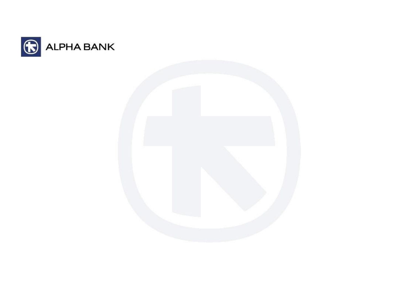

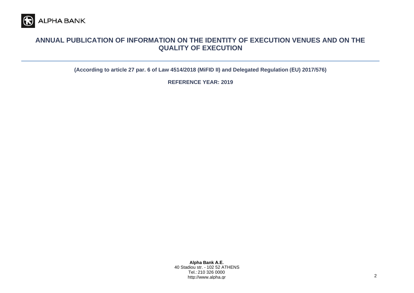

## **ANNUAL PUBLICATION OF INFORMATION ON THE IDENTITY OF EXECUTION VENUES AND ON THE QUALITY OF EXECUTION**

**(According to article 27 par. 6 of Law 4514/2018 (MiFID II) and Delegated Regulation (ΕU) 2017/576)**

**REFERENCE YEAR: 2019**

**Alpha Bank Α.Ε.** 40 Stadiou str. - 102 52 ATHENS Tel.: 210 326 0000 http://www.alpha.gr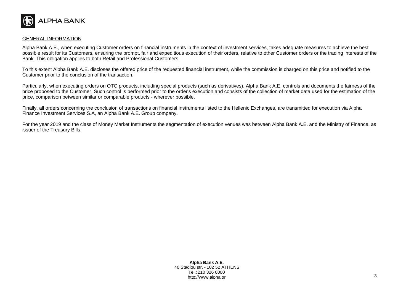

## GENERAL INFORMATION

Alpha Bank A.E., when executing Customer orders on financial instruments in the context of investment services, takes adequate measures to achieve the best possible result for its Customers, ensuring the prompt, fair and expeditious execution of their orders, relative to other Customer orders or the trading interests of the Bank. This obligation applies to both Retail and Professional Customers.

To this extent Alpha Bank A.E. discloses the offered price of the requested financial instrument, while the commission is charged on this price and notified to the Customer prior to the conclusion of the transaction.

Particularly, when executing orders on OTC products, including special products (such as derivatives), Alpha Bank A.E. controls and documents the fairness of the price proposed to the Customer. Such control is performed prior to the order's execution and consists of the collection of market data used for the estimation of the price, comparison between similar or comparable products - wherever possible.

Finally, all orders concerning the conclusion of transactions on financial instruments listed to the Hellenic Exchanges, are transmitted for execution via Alpha Finance Investment Services S.A, an Alpha Bank A.E. Group company.

For the year 2019 and the class of Money Market Instruments the segmentation of execution venues was between Alpha Bank A.E. and the Ministry of Finance, as issuer of the Treasury Bills.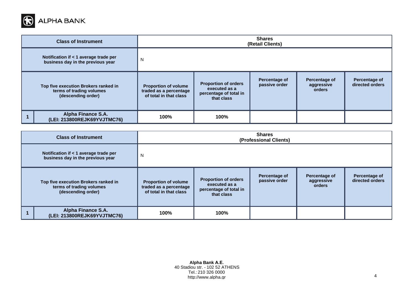

|                                                                                        | <b>Class of Instrument</b>                                                 | <b>Shares</b><br>(Retail Clients)                                               |                                                                                      |                                |                                       |                                  |
|----------------------------------------------------------------------------------------|----------------------------------------------------------------------------|---------------------------------------------------------------------------------|--------------------------------------------------------------------------------------|--------------------------------|---------------------------------------|----------------------------------|
|                                                                                        | Notification if < 1 average trade per<br>business day in the previous year | N                                                                               |                                                                                      |                                |                                       |                                  |
| Top five execution Brokers ranked in<br>terms of trading volumes<br>(descending order) |                                                                            | <b>Proportion of volume</b><br>traded as a percentage<br>of total in that class | <b>Proportion of orders</b><br>executed as a<br>percentage of total in<br>that class | Percentage of<br>passive order | Percentage of<br>aggressive<br>orders | Percentage of<br>directed orders |
|                                                                                        | Alpha Finance S.A.<br>(LEI: 213800REJK69YVJTMC76)                          | 100%                                                                            | 100%                                                                                 |                                |                                       |                                  |

|                                                                                        | <b>Class of Instrument</b>                                                 | <b>Shares</b><br>(Professional Clients)                                         |                                                                                      |                                |                                       |                                  |
|----------------------------------------------------------------------------------------|----------------------------------------------------------------------------|---------------------------------------------------------------------------------|--------------------------------------------------------------------------------------|--------------------------------|---------------------------------------|----------------------------------|
|                                                                                        | Notification if < 1 average trade per<br>business day in the previous year | N                                                                               |                                                                                      |                                |                                       |                                  |
| Top five execution Brokers ranked in<br>terms of trading volumes<br>(descending order) |                                                                            | <b>Proportion of volume</b><br>traded as a percentage<br>of total in that class | <b>Proportion of orders</b><br>executed as a<br>percentage of total in<br>that class | Percentage of<br>passive order | Percentage of<br>aggressive<br>orders | Percentage of<br>directed orders |
|                                                                                        | Alpha Finance S.A.<br>(LEI: 213800REJK69YVJTMC76)                          | 100%                                                                            | 100%                                                                                 |                                |                                       |                                  |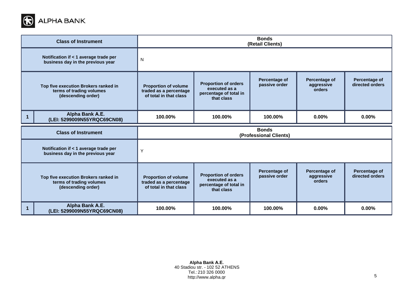

|                                                                                        | <b>Class of Instrument</b>                                                             | <b>Bonds</b><br>(Retail Clients)                                                |                                                                                      |                                       |                                              |                                  |
|----------------------------------------------------------------------------------------|----------------------------------------------------------------------------------------|---------------------------------------------------------------------------------|--------------------------------------------------------------------------------------|---------------------------------------|----------------------------------------------|----------------------------------|
|                                                                                        | Notification if < 1 average trade per<br>business day in the previous year             | N                                                                               |                                                                                      |                                       |                                              |                                  |
| Top five execution Brokers ranked in<br>terms of trading volumes<br>(descending order) |                                                                                        | <b>Proportion of volume</b><br>traded as a percentage<br>of total in that class | <b>Proportion of orders</b><br>executed as a<br>percentage of total in<br>that class | <b>Percentage of</b><br>passive order | Percentage of<br>aggressive<br>orders        | Percentage of<br>directed orders |
|                                                                                        | Alpha Bank A.E.<br>(LEI: 5299009N55YRQC69CN08)                                         | 100.00%                                                                         | 100.00%                                                                              | 100.00%                               | 0.00%                                        | 0.00%                            |
|                                                                                        |                                                                                        | <b>Bonds</b><br>(Professional Clients)                                          |                                                                                      |                                       |                                              |                                  |
|                                                                                        | <b>Class of Instrument</b>                                                             |                                                                                 |                                                                                      |                                       |                                              |                                  |
|                                                                                        | Notification if < 1 average trade per<br>business day in the previous year             | Y                                                                               |                                                                                      |                                       |                                              |                                  |
|                                                                                        | Top five execution Brokers ranked in<br>terms of trading volumes<br>(descending order) | <b>Proportion of volume</b><br>traded as a percentage<br>of total in that class | <b>Proportion of orders</b><br>executed as a<br>percentage of total in<br>that class | <b>Percentage of</b><br>passive order | <b>Percentage of</b><br>aggressive<br>orders | Percentage of<br>directed orders |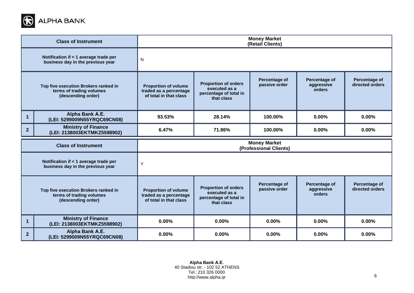

|                | <b>Class of Instrument</b>                                                             | <b>Money Market</b><br>(Retail Clients)                                         |                                                                                      |                                               |                                              |                                  |
|----------------|----------------------------------------------------------------------------------------|---------------------------------------------------------------------------------|--------------------------------------------------------------------------------------|-----------------------------------------------|----------------------------------------------|----------------------------------|
|                | Notification if < 1 average trade per<br>business day in the previous year             | N                                                                               |                                                                                      |                                               |                                              |                                  |
|                | Top five execution Brokers ranked in<br>terms of trading volumes<br>(descending order) | <b>Proportion of volume</b><br>traded as a percentage<br>of total in that class | <b>Proportion of orders</b><br>executed as a<br>percentage of total in<br>that class | <b>Percentage of</b><br>passive order         | <b>Percentage of</b><br>aggressive<br>orders | Percentage of<br>directed orders |
| $\mathbf 1$    | Alpha Bank A.E.<br>(LEI: 5299009N55YRQC69CN08)                                         | 93.53%                                                                          | 28.14%                                                                               | 100.00%                                       | 0.00%                                        | 0.00%                            |
| $\overline{2}$ | <b>Ministry of Finance</b><br>(LEI: 2138003EKTMKZ5598902)                              | 6.47%                                                                           | 71.86%                                                                               | 100.00%                                       | 0.00%                                        | 0.00%                            |
|                |                                                                                        |                                                                                 |                                                                                      |                                               |                                              |                                  |
|                | <b>Class of Instrument</b>                                                             |                                                                                 |                                                                                      | <b>Money Market</b><br>(Professional Clients) |                                              |                                  |
|                | Notification if < 1 average trade per<br>business day in the previous year             | Υ                                                                               |                                                                                      |                                               |                                              |                                  |
|                | Top five execution Brokers ranked in<br>terms of trading volumes<br>(descending order) | <b>Proportion of volume</b><br>traded as a percentage<br>of total in that class | <b>Proportion of orders</b><br>executed as a<br>percentage of total in<br>that class | Percentage of<br>passive order                | Percentage of<br>aggressive<br>orders        | Percentage of<br>directed orders |
| -1             | <b>Ministry of Finance</b><br>(LEI: 2138003EKTMKZ5598902)                              | 0.00%                                                                           | 0.00%                                                                                | $0.00\%$                                      | 0.00%                                        | 0.00%                            |

**Alpha Bank Α.Ε.** 40 Stadiou str. - 102 52 ATHENS Tel.: 210 326 0000 http://www.alpha.gr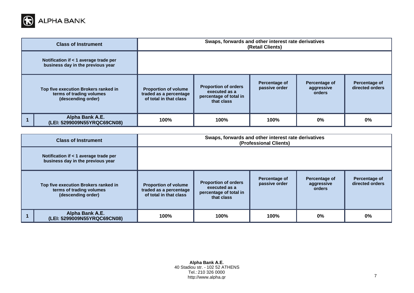

| <b>Class of Instrument</b>                                                             | Swaps, forwards and other interest rate derivatives<br>(Retail Clients)         |                                                                                      |                                |                                       |                                  |
|----------------------------------------------------------------------------------------|---------------------------------------------------------------------------------|--------------------------------------------------------------------------------------|--------------------------------|---------------------------------------|----------------------------------|
| Notification if < 1 average trade per<br>business day in the previous year             |                                                                                 |                                                                                      |                                |                                       |                                  |
| Top five execution Brokers ranked in<br>terms of trading volumes<br>(descending order) | <b>Proportion of volume</b><br>traded as a percentage<br>of total in that class | <b>Proportion of orders</b><br>executed as a<br>percentage of total in<br>that class | Percentage of<br>passive order | Percentage of<br>aggressive<br>orders | Percentage of<br>directed orders |
| Alpha Bank A.E.<br>(LEI: 5299009N55YRQC69CN08)                                         | 100%                                                                            | 100%                                                                                 | 100%                           | $0\%$                                 | $0\%$                            |

| <b>Class of Instrument</b>                                                             | Swaps, forwards and other interest rate derivatives<br>(Professional Clients)   |                                                                                      |                                |                                       |                                  |
|----------------------------------------------------------------------------------------|---------------------------------------------------------------------------------|--------------------------------------------------------------------------------------|--------------------------------|---------------------------------------|----------------------------------|
| Notification if < 1 average trade per<br>business day in the previous year             |                                                                                 |                                                                                      |                                |                                       |                                  |
| Top five execution Brokers ranked in<br>terms of trading volumes<br>(descending order) | <b>Proportion of volume</b><br>traded as a percentage<br>of total in that class | <b>Proportion of orders</b><br>executed as a<br>percentage of total in<br>that class | Percentage of<br>passive order | Percentage of<br>aggressive<br>orders | Percentage of<br>directed orders |
| Alpha Bank A.E.<br>(LEI: 5299009N55YRQC69CN08)                                         | 100%                                                                            | 100%                                                                                 | 100%                           | 0%                                    | 0%                               |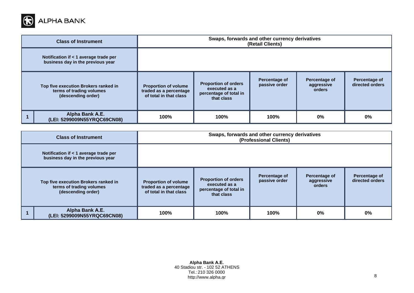

| <b>Class of Instrument</b>                                                             | Swaps, forwards and other currency derivatives<br>(Retail Clients)              |                                                                                      |                                |                                       |                                  |
|----------------------------------------------------------------------------------------|---------------------------------------------------------------------------------|--------------------------------------------------------------------------------------|--------------------------------|---------------------------------------|----------------------------------|
| Notification if < 1 average trade per<br>business day in the previous year             |                                                                                 |                                                                                      |                                |                                       |                                  |
| Top five execution Brokers ranked in<br>terms of trading volumes<br>(descending order) | <b>Proportion of volume</b><br>traded as a percentage<br>of total in that class | <b>Proportion of orders</b><br>executed as a<br>percentage of total in<br>that class | Percentage of<br>passive order | Percentage of<br>aggressive<br>orders | Percentage of<br>directed orders |
| Alpha Bank A.E.<br>(LEI: 5299009N55YRQC69CN08)                                         | 100%                                                                            | 100%                                                                                 | 100%                           | $0\%$                                 | 0%                               |

| <b>Class of Instrument</b>                                                             | Swaps, forwards and other currency derivatives<br>(Professional Clients)        |                                                                                      |                                |                                       |                                  |
|----------------------------------------------------------------------------------------|---------------------------------------------------------------------------------|--------------------------------------------------------------------------------------|--------------------------------|---------------------------------------|----------------------------------|
| Notification if < 1 average trade per<br>business day in the previous year             |                                                                                 |                                                                                      |                                |                                       |                                  |
| Top five execution Brokers ranked in<br>terms of trading volumes<br>(descending order) | <b>Proportion of volume</b><br>traded as a percentage<br>of total in that class | <b>Proportion of orders</b><br>executed as a<br>percentage of total in<br>that class | Percentage of<br>passive order | Percentage of<br>aggressive<br>orders | Percentage of<br>directed orders |
| Alpha Bank A.E.<br>(LEI: 5299009N55YRQC69CN08)                                         | 100%                                                                            | 100%                                                                                 | 100%                           | $0\%$                                 | 0%                               |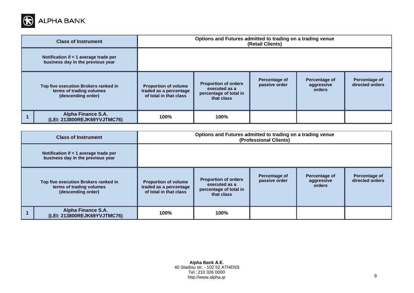

| <b>Class of Instrument</b>                                                             | Options and Futures admitted to trading on a trading venue<br>(Retail Clients)  |                                                                                      |                                |                                       |                                  |
|----------------------------------------------------------------------------------------|---------------------------------------------------------------------------------|--------------------------------------------------------------------------------------|--------------------------------|---------------------------------------|----------------------------------|
| Notification if < 1 average trade per<br>business day in the previous year             |                                                                                 |                                                                                      |                                |                                       |                                  |
| Top five execution Brokers ranked in<br>terms of trading volumes<br>(descending order) | <b>Proportion of volume</b><br>traded as a percentage<br>of total in that class | <b>Proportion of orders</b><br>executed as a<br>percentage of total in<br>that class | Percentage of<br>passive order | Percentage of<br>aggressive<br>orders | Percentage of<br>directed orders |
| Alpha Finance S.A.<br>(LEI: 213800REJK69YVJTMC76)                                      | 100%                                                                            | 100%                                                                                 |                                |                                       |                                  |

| <b>Class of Instrument</b>                                                             | Options and Futures admitted to trading on a trading venue<br>(Professional Clients) |                                                                                      |                                |                                       |                                  |
|----------------------------------------------------------------------------------------|--------------------------------------------------------------------------------------|--------------------------------------------------------------------------------------|--------------------------------|---------------------------------------|----------------------------------|
| Notification if < 1 average trade per<br>business day in the previous year             |                                                                                      |                                                                                      |                                |                                       |                                  |
| Top five execution Brokers ranked in<br>terms of trading volumes<br>(descending order) | <b>Proportion of volume</b><br>traded as a percentage<br>of total in that class      | <b>Proportion of orders</b><br>executed as a<br>percentage of total in<br>that class | Percentage of<br>passive order | Percentage of<br>aggressive<br>orders | Percentage of<br>directed orders |
| Alpha Finance S.A.<br>(LEI: 213800REJK69YVJTMC76)                                      | 100%                                                                                 | 100%                                                                                 |                                |                                       |                                  |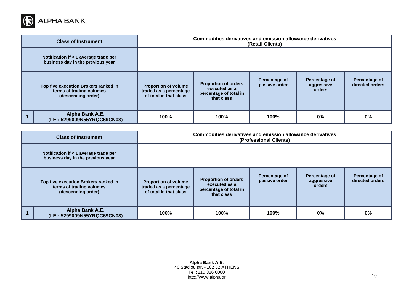

|                                                                                        | <b>Class of Instrument</b>                                                 | Commodities derivatives and emission allowance derivatives<br>(Retail Clients)  |                                                                                      |                                |                                       |                                  |
|----------------------------------------------------------------------------------------|----------------------------------------------------------------------------|---------------------------------------------------------------------------------|--------------------------------------------------------------------------------------|--------------------------------|---------------------------------------|----------------------------------|
|                                                                                        | Notification if < 1 average trade per<br>business day in the previous year |                                                                                 |                                                                                      |                                |                                       |                                  |
| Top five execution Brokers ranked in<br>terms of trading volumes<br>(descending order) |                                                                            | <b>Proportion of volume</b><br>traded as a percentage<br>of total in that class | <b>Proportion of orders</b><br>executed as a<br>percentage of total in<br>that class | Percentage of<br>passive order | Percentage of<br>aggressive<br>orders | Percentage of<br>directed orders |
|                                                                                        | Alpha Bank A.E.<br>(LEI: 5299009N55YRQC69CN08)                             | 100%                                                                            | 100%                                                                                 | 100%                           | $0\%$                                 | 0%                               |

| <b>Class of Instrument</b>                                                             | Commodities derivatives and emission allowance derivatives<br>(Professional Clients) |                                                                                      |                                |                                       |                                  |
|----------------------------------------------------------------------------------------|--------------------------------------------------------------------------------------|--------------------------------------------------------------------------------------|--------------------------------|---------------------------------------|----------------------------------|
| Notification if < 1 average trade per<br>business day in the previous year             |                                                                                      |                                                                                      |                                |                                       |                                  |
| Top five execution Brokers ranked in<br>terms of trading volumes<br>(descending order) | <b>Proportion of volume</b><br>traded as a percentage<br>of total in that class      | <b>Proportion of orders</b><br>executed as a<br>percentage of total in<br>that class | Percentage of<br>passive order | Percentage of<br>aggressive<br>orders | Percentage of<br>directed orders |
| Alpha Bank A.E.<br>(LEI: 5299009N55YRQC69CN08)                                         | 100%                                                                                 | 100%                                                                                 | 100%                           | $0\%$                                 | 0%                               |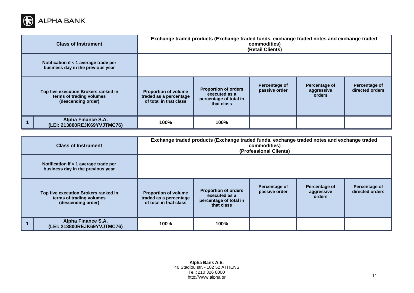

|                                                                                        | <b>Class of Instrument</b>                                                 | Exchange traded products (Exchange traded funds, exchange traded notes and exchange traded<br>commodities)<br>(Retail Clients) |                                                                                      |                                |                                       |                                  |
|----------------------------------------------------------------------------------------|----------------------------------------------------------------------------|--------------------------------------------------------------------------------------------------------------------------------|--------------------------------------------------------------------------------------|--------------------------------|---------------------------------------|----------------------------------|
|                                                                                        | Notification if < 1 average trade per<br>business day in the previous year |                                                                                                                                |                                                                                      |                                |                                       |                                  |
| Top five execution Brokers ranked in<br>terms of trading volumes<br>(descending order) |                                                                            | <b>Proportion of volume</b><br>traded as a percentage<br>of total in that class                                                | <b>Proportion of orders</b><br>executed as a<br>percentage of total in<br>that class | Percentage of<br>passive order | Percentage of<br>aggressive<br>orders | Percentage of<br>directed orders |
|                                                                                        | <b>Alpha Finance S.A.</b><br>(LEI: 213800REJK69YVJTMC76)                   | 100%                                                                                                                           | 100%                                                                                 |                                |                                       |                                  |

| Exchange traded products (Exchange traded funds, exchange traded notes and exchange traded<br><b>Class of Instrument</b><br>commodities)<br>(Professional Clients) |                                                                              |                                                                                 |                                                                                      |                                |                                       |                                  |
|--------------------------------------------------------------------------------------------------------------------------------------------------------------------|------------------------------------------------------------------------------|---------------------------------------------------------------------------------|--------------------------------------------------------------------------------------|--------------------------------|---------------------------------------|----------------------------------|
|                                                                                                                                                                    | Notification if $<$ 1 average trade per<br>business day in the previous year |                                                                                 |                                                                                      |                                |                                       |                                  |
| Top five execution Brokers ranked in<br>terms of trading volumes<br>(descending order)                                                                             |                                                                              | <b>Proportion of volume</b><br>traded as a percentage<br>of total in that class | <b>Proportion of orders</b><br>executed as a<br>percentage of total in<br>that class | Percentage of<br>passive order | Percentage of<br>aggressive<br>orders | Percentage of<br>directed orders |
|                                                                                                                                                                    | <b>Alpha Finance S.A.</b><br>(LEI: 213800REJK69YVJTMC76)                     | 100%                                                                            | 100%                                                                                 |                                |                                       |                                  |